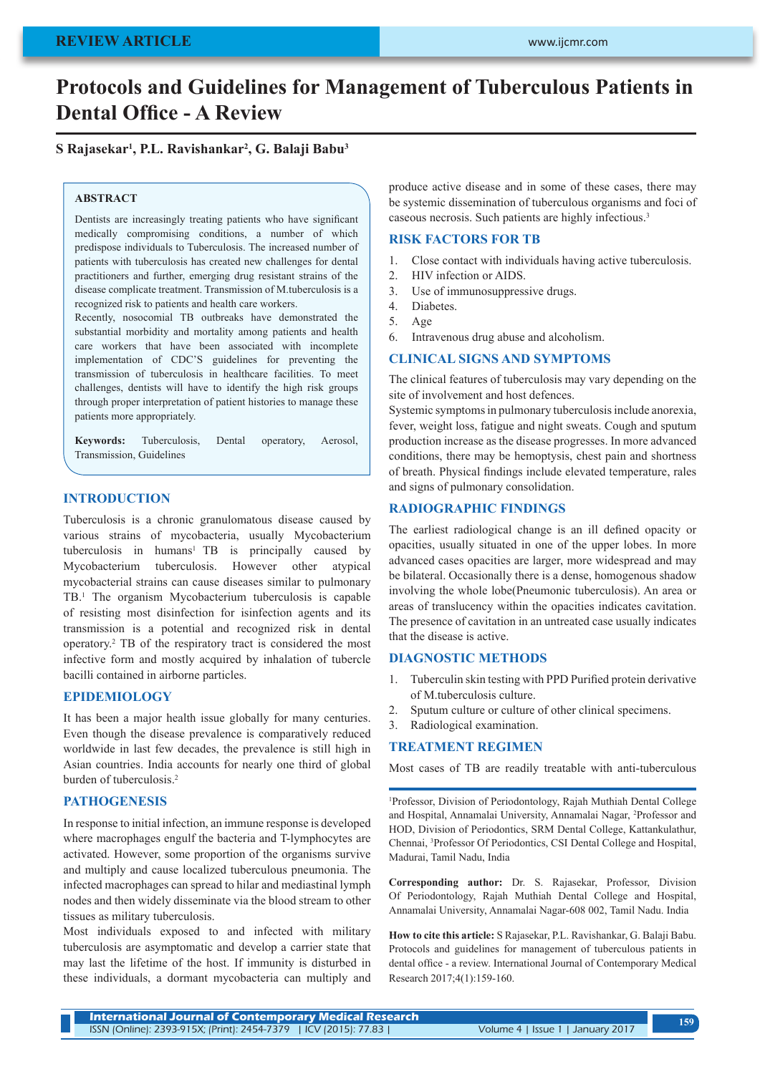# **Protocols and Guidelines for Management of Tuberculous Patients in Dental Office - A Review**

# **S Rajasekar<sup>1</sup> , P.L. Ravishankar<sup>2</sup> , G. Balaji Babu<sup>3</sup>**

#### **ABSTRACT**

Dentists are increasingly treating patients who have significant medically compromising conditions, a number of which predispose individuals to Tuberculosis. The increased number of patients with tuberculosis has created new challenges for dental practitioners and further, emerging drug resistant strains of the disease complicate treatment. Transmission of M.tuberculosis is a recognized risk to patients and health care workers.

Recently, nosocomial TB outbreaks have demonstrated the substantial morbidity and mortality among patients and health care workers that have been associated with incomplete implementation of CDC'S guidelines for preventing the transmission of tuberculosis in healthcare facilities. To meet challenges, dentists will have to identify the high risk groups through proper interpretation of patient histories to manage these patients more appropriately.

**Keywords:** Tuberculosis, Dental operatory, Aerosol, Transmission, Guidelines

# **INTRODUCTION**

Tuberculosis is a chronic granulomatous disease caused by various strains of mycobacteria, usually Mycobacterium tuberculosis in humans<sup>1</sup> TB is principally caused by Mycobacterium tuberculosis. However other atypical mycobacterial strains can cause diseases similar to pulmonary TB.1 The organism Mycobacterium tuberculosis is capable of resisting most disinfection for isinfection agents and its transmission is a potential and recognized risk in dental operatory.2 TB of the respiratory tract is considered the most infective form and mostly acquired by inhalation of tubercle bacilli contained in airborne particles.

#### **EPIDEMIOLOGY**

It has been a major health issue globally for many centuries. Even though the disease prevalence is comparatively reduced worldwide in last few decades, the prevalence is still high in Asian countries. India accounts for nearly one third of global burden of tuberculosis.<sup>2</sup>

# **PATHOGENESIS**

In response to initial infection, an immune response is developed where macrophages engulf the bacteria and T-lymphocytes are activated. However, some proportion of the organisms survive and multiply and cause localized tuberculous pneumonia. The infected macrophages can spread to hilar and mediastinal lymph nodes and then widely disseminate via the blood stream to other tissues as military tuberculosis.

Most individuals exposed to and infected with military tuberculosis are asymptomatic and develop a carrier state that may last the lifetime of the host. If immunity is disturbed in these individuals, a dormant mycobacteria can multiply and produce active disease and in some of these cases, there may be systemic dissemination of tuberculous organisms and foci of caseous necrosis. Such patients are highly infectious.3

#### **RISK FACTORS FOR TB**

- 1. Close contact with individuals having active tuberculosis.
- 2. HIV infection or AIDS.
- 3. Use of immunosuppressive drugs.
- 4. Diabetes.
- 5. Age
- 6. Intravenous drug abuse and alcoholism.

#### **CLINICAL SIGNS AND SYMPTOMS**

The clinical features of tuberculosis may vary depending on the site of involvement and host defences.

Systemic symptoms in pulmonary tuberculosis include anorexia, fever, weight loss, fatigue and night sweats. Cough and sputum production increase as the disease progresses. In more advanced conditions, there may be hemoptysis, chest pain and shortness of breath. Physical findings include elevated temperature, rales and signs of pulmonary consolidation.

## **RADIOGRAPHIC FINDINGS**

The earliest radiological change is an ill defined opacity or opacities, usually situated in one of the upper lobes. In more advanced cases opacities are larger, more widespread and may be bilateral. Occasionally there is a dense, homogenous shadow involving the whole lobe(Pneumonic tuberculosis). An area or areas of translucency within the opacities indicates cavitation. The presence of cavitation in an untreated case usually indicates that the disease is active.

#### **DIAGNOSTIC METHODS**

- 1. Tuberculin skin testing with PPD Purified protein derivative of M.tuberculosis culture.
- 2. Sputum culture or culture of other clinical specimens.
- 3. Radiological examination.

## **TREATMENT REGIMEN**

Most cases of TB are readily treatable with anti-tuberculous

1 Professor, Division of Periodontology, Rajah Muthiah Dental College and Hospital, Annamalai University, Annamalai Nagar, 2 Professor and HOD, Division of Periodontics, SRM Dental College, Kattankulathur, Chennai, 3 Professor Of Periodontics, CSI Dental College and Hospital, Madurai, Tamil Nadu, India

**Corresponding author:** Dr. S. Rajasekar, Professor, Division Of Periodontology, Rajah Muthiah Dental College and Hospital, Annamalai University, Annamalai Nagar-608 002, Tamil Nadu. India

**How to cite this article:** S Rajasekar, P.L. Ravishankar, G. Balaji Babu. Protocols and guidelines for management of tuberculous patients in dental office - a review. International Journal of Contemporary Medical Research 2017;4(1):159-160.